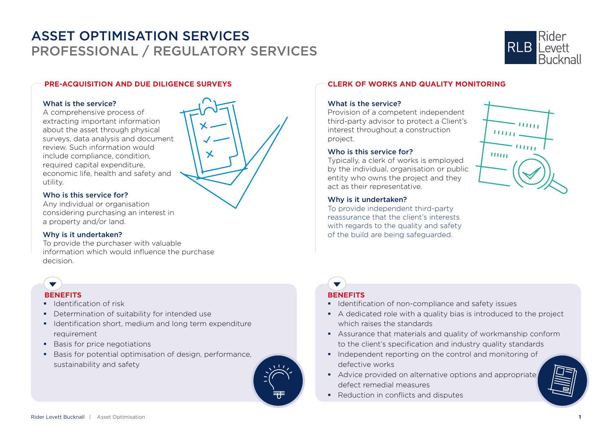

## **PRE-ACQUISITION AND DUE DILIGENCE SURVEYS**

### What is the service?

A comprehensive process of extracting important information about the asset through physical surveys, data analysis and document review. Such information would include compliance, condition, required capital expenditure, economic life, health and safety and utility.

## Who is this service for?

Any individual or organisation considering purchasing an interest in a property and/or land.

## Why is it undertaken?

To provide the purchaser with valuable information which would influence the purchase decision.

- $\blacksquare$  Identification of risk
- **•** Determination of suitability for intended use
- I Identification short, medium and long term expenditure requirement
- **Basis for price negotiations**
- Basis for potential optimisation of design, performance, sustainability and safety



## What is the service?

Provision of a competent independent third-party advisor to protect a Client's interest throughout a construction project.

## Who is this service for?

Typically, a clerk of works is employed by the individual, organisation or public entity who owns the project and they act as their representative.

## Why is it undertaken?

To provide independent third-party reassurance that the client's interests with regards to the quality and safety of the build are being safeguarded.



# **BENEFITS BENEFITS**

 $\overline{\phantom{0}}$ 

- **IDENTIFICATE:** Identification of non-compliance and safety issues
- A dedicated role with a quality bias is introduced to the project which raises the standards
- Assurance that materials and quality of workmanship conform to the client's specification and industry quality standards
- Independent reporting on the control and monitoring of defective works
- Advice provided on alternative options and appropriate defect remedial measures
- Reduction in conflicts and disputes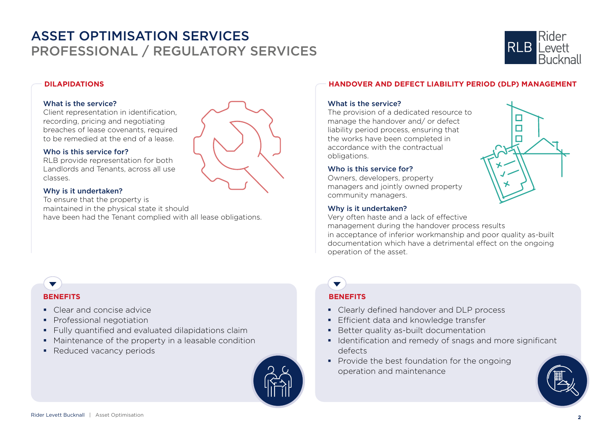

 $\Box$ 

## **DILAPIDATIONS**

## What is the service?

Client representation in identification, recording, pricing and negotiating breaches of lease covenants, required to be remedied at the end of a lease.

## Who is this service for?

RLB provide representation for both Landlords and Tenants, across all use classes.

## Why is it undertaken?

To ensure that the property is maintained in the physical state it should have been had the Tenant complied with all lease obligations.



## **HANDOVER AND DEFECT LIABILITY PERIOD (DLP) MANAGEMENT**

## What is the service?

The provision of a dedicated resource to manage the handover and/ or defect liability period process, ensuring that the works have been completed in accordance with the contractual obligations.

## Who is this service for?

Owners, developers, property managers and jointly owned property community managers.

## Why is it undertaken?

Very often haste and a lack of effective management during the handover process results in acceptance of inferior workmanship and poor quality as-built documentation which have a detrimental effect on the ongoing operation of the asset.

## **BENEFITS**

 $\blacktriangledown$ 

- Clear and concise advice
- **Professional negotiation**
- **Fully quantified and evaluated dilapidations claim**
- Maintenance of the property in a leasable condition
- Reduced vacancy periods



## **BENEFITS**

- Clearly defined handover and DLP process
- **Efficient data and knowledge transfer**
- **Better quality as-built documentation**
- **IDENTIFICATE:** Identification and remedy of snags and more significant defects
- Provide the best foundation for the ongoing operation and maintenance

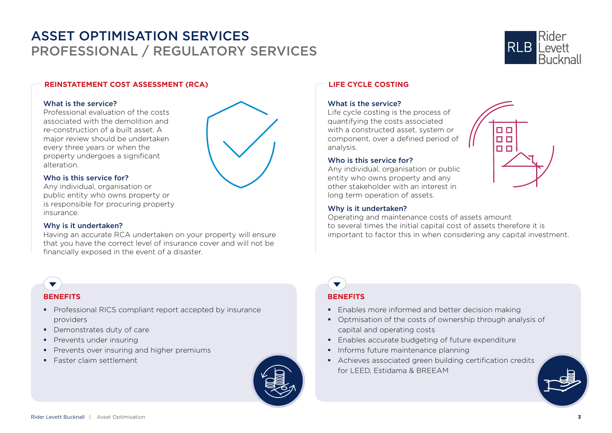

0 O **DD**  $\Box$ 

## **REINSTATEMENT COST ASSESSMENT (RCA)**

## What is the service?

Professional evaluation of the costs associated with the demolition and re-construction of a built asset. A major review should be undertaken every three years or when the property undergoes a significant alteration.



## Who is this service for?

Any individual, organisation or public entity who owns property or is responsible for procuring property insurance.

## Why is it undertaken?

Having an accurate RCA undertaken on your property will ensure that you have the correct level of insurance cover and will not be financially exposed in the event of a disaster.

## $\blacktriangledown$ **BENEFITS**

- **Professional RICS compliant report accepted by insurance** providers
- **•** Demonstrates duty of care
- **Prevents under insuring**
- **Prevents over insuring and higher premiums**
- **Faster claim settlement**



## **LIFE CYCLE COSTING**

## What is the service?

Life cycle costing is the process of quantifying the costs associated with a constructed asset, system or component, over a defined period of analysis.

## Who is this service for?

Any individual, organisation or public entity who owns property and any other stakeholder with an interest in long term operation of assets.

## Why is it undertaken?

Operating and maintenance costs of assets amount to several times the initial capital cost of assets therefore it is important to factor this in when considering any capital investment.

## **BENEFITS**

 $\blacktriangledown$ 

- **Enables more informed and better decision making**
- Optmisation of the costs of ownership through analysis of capital and operating costs
- **Enables accurate budgeting of future expenditure**
- **Informs future maintenance planning**
- Achieves associated green building certification credits for LEED, Estidama & BREEAM